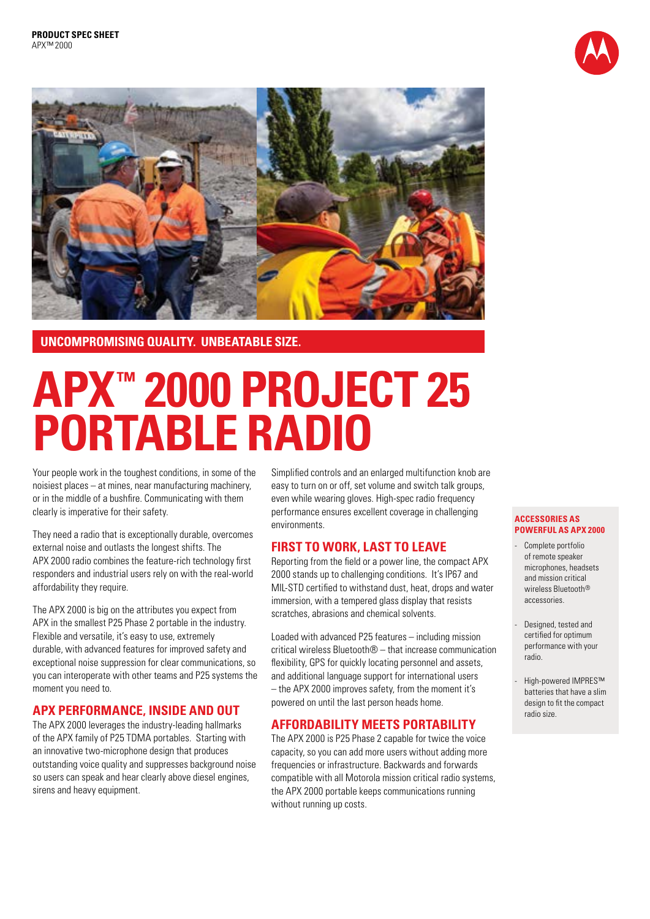



## **UNCOMPROMISING QUALITY. UNBEATABLE SIZE.**

# **APX™ 2000 PROJECT 25 PORTABLE RADIO**

Your people work in the toughest conditions, in some of the noisiest places – at mines, near manufacturing machinery, or in the middle of a bushfire. Communicating with them clearly is imperative for their safety.

They need a radio that is exceptionally durable, overcomes external noise and outlasts the longest shifts. The APX 2000 radio combines the feature-rich technology first responders and industrial users rely on with the real-world affordability they require.

The APX 2000 is big on the attributes you expect from APX in the smallest P25 Phase 2 portable in the industry. Flexible and versatile, it's easy to use, extremely durable, with advanced features for improved safety and exceptional noise suppression for clear communications, so you can interoperate with other teams and P25 systems the moment you need to.

# **APX PERFORMANCE, INSIDE AND OUT**

The APX 2000 leverages the industry-leading hallmarks of the APX family of P25 TDMA portables. Starting with an innovative two-microphone design that produces outstanding voice quality and suppresses background noise so users can speak and hear clearly above diesel engines, sirens and heavy equipment.

Simplified controls and an enlarged multifunction knob are easy to turn on or off, set volume and switch talk groups, even while wearing gloves. High-spec radio frequency performance ensures excellent coverage in challenging environments.

# **FIRST TO WORK, LAST TO LEAVE**

Reporting from the field or a power line, the compact APX 2000 stands up to challenging conditions. It's IP67 and MIL-STD certified to withstand dust, heat, drops and water immersion, with a tempered glass display that resists scratches, abrasions and chemical solvents.

Loaded with advanced P25 features – including mission critical wireless Bluetooth® – that increase communication flexibility, GPS for quickly locating personnel and assets, and additional language support for international users – the APX 2000 improves safety, from the moment it's powered on until the last person heads home.

# **AFFORDABILITY MEETS PORTABILITY**

The APX 2000 is P25 Phase 2 capable for twice the voice capacity, so you can add more users without adding more frequencies or infrastructure. Backwards and forwards compatible with all Motorola mission critical radio systems, the APX 2000 portable keeps communications running without running up costs.

#### **ACCESSORIES AS POWERFUL AS APX 2000**

- Complete portfolio of remote speaker microphones, headsets and mission critical wireless Bluetooth® accessories.
- Designed, tested and certified for optimum performance with your radio.
- High-powered IMPRES™ batteries that have a slim design to fit the compact radio size.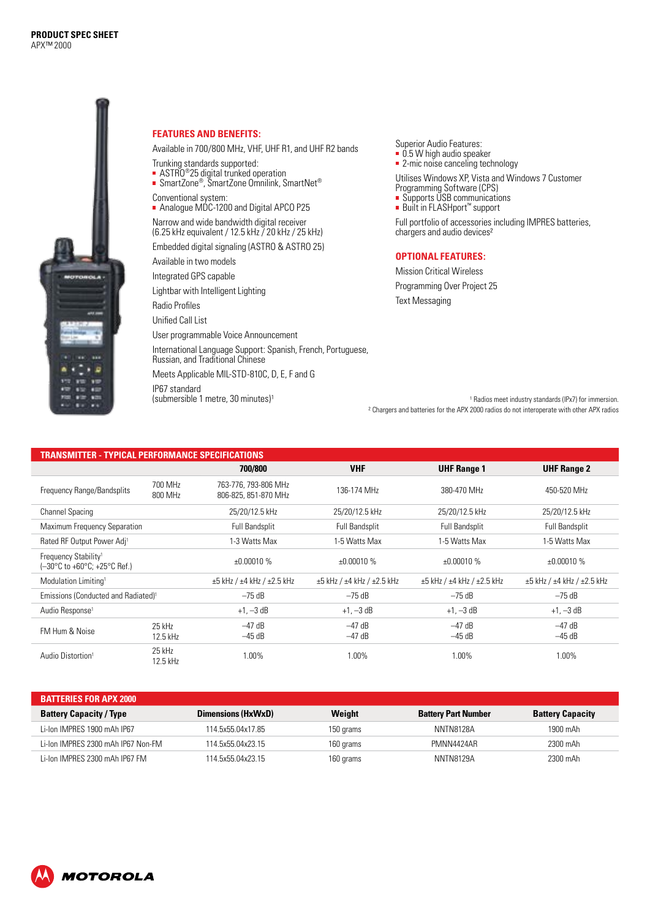

#### **FEATURES AND BENEFITS:**

Available in 700/800 MHz, VHF, UHF R1, and UHF R2 bands

- Trunking standards supported:
- ASTRO®25 digital trunked operation
- SmartZone®, SmartZone Omnilink, SmartNet®
- Conventional system: ■ Analogue MDC-1200 and Digital APCO P25

Narrow and wide bandwidth digital receiver (6.25 kHz equivalent / 12.5 kHz / 20 kHz / 25 kHz)

Embedded digital signaling (ASTRO & ASTRO 25)

Available in two models

Integrated GPS capable

Lightbar with Intelligent Lighting

Radio Profiles Unified Call List

User programmable Voice Announcement

International Language Support: Spanish, French, Portuguese, Russian, and Traditional Chinese Meets Applicable MIL-STD-810C, D, E, F and G

IP67 standard  $(submersible 1 metre, 30 minutes)<sup>1</sup>$  Superior Audio Features: **0.5 W** high audio speaker

**2-mic noise canceling technology** 

Utilises Windows XP, Vista and Windows 7 Customer Programming Software (CPS) Supports USB communications

■ Built in FLASHport™ support

Full portfolio of accessories including IMPRES batteries, chargers and audio devices²

### **OPTIONAL FEATURES:**

Mission Critical Wireless Programming Over Project 25 Text Messaging

<sup>1</sup> Radios meet industry standards (IPx7) for immersion. ² Chargers and batteries for the APX 2000 radios do not interoperate with other APX radios

| TRANSMITTER - TYPICAL PERFORMANCE SPECIFICATIONS                 |                    |                                              |                                           |                                           |                                           |  |  |  |
|------------------------------------------------------------------|--------------------|----------------------------------------------|-------------------------------------------|-------------------------------------------|-------------------------------------------|--|--|--|
|                                                                  |                    | 700/800                                      | <b>VHF</b>                                | <b>UHF Range 1</b>                        | <b>UHF Range 2</b>                        |  |  |  |
| 700 MHz<br>Frequency Range/Bandsplits<br>800 MHz                 |                    | 763-776, 793-806 MHz<br>806-825, 851-870 MHz | 136-174 MHz                               |                                           | 450-520 MHz                               |  |  |  |
| <b>Channel Spacing</b>                                           |                    | 25/20/12.5 kHz                               | 25/20/12.5 kHz<br>25/20/12.5 kHz          |                                           | 25/20/12.5 kHz                            |  |  |  |
| Maximum Frequency Separation                                     |                    | <b>Full Bandsplit</b>                        | Full Bandsplit                            | <b>Full Bandsplit</b>                     | <b>Full Bandsplit</b>                     |  |  |  |
| Rated RF Output Power Adj <sup>1</sup>                           |                    | 1-3 Watts Max                                | 1-5 Watts Max<br>1-5 Watts Max            |                                           | 1-5 Watts Max                             |  |  |  |
| Frequency Stability <sup>1</sup><br>(-30°C to +60°C; +25°C Ref.) |                    | ±0.00010%                                    | ±0.00010%                                 | ±0.00010%                                 | ±0.00010%                                 |  |  |  |
| Modulation Limiting <sup>1</sup>                                 |                    | $\pm 5$ kHz / $\pm 4$ kHz / $\pm 2.5$ kHz    | $\pm 5$ kHz / $\pm 4$ kHz / $\pm 2.5$ kHz | $\pm 5$ kHz / $\pm 4$ kHz / $\pm 2.5$ kHz | $\pm 5$ kHz / $\pm 4$ kHz / $\pm 2.5$ kHz |  |  |  |
| Emissions (Conducted and Radiated) <sup>1</sup>                  |                    | $-75$ dB                                     | $-75$ dB                                  | $-75$ dB                                  | $-75$ dB                                  |  |  |  |
| Audio Response <sup>1</sup>                                      |                    | $+1, -3$ dB                                  | $+1, -3$ dB                               | $+1, -3$ dB                               | $+1, -3$ dB                               |  |  |  |
| FM Hum & Noise                                                   | 25 kHz<br>12.5 kHz | $-47$ dB<br>$-45$ dB                         | $-47$ dB<br>$-47$ dB                      | –47 dB<br>$-45$ dB                        | $-47$ dB<br>$-45$ dB                      |  |  |  |
| Audio Distortion <sup>1</sup>                                    | 25 kHz<br>12.5 kHz | 1.00%                                        | 1.00%                                     | 1.00%                                     | 1.00%                                     |  |  |  |

| <b>BATTERIES FOR APX 2000</b>      |                    |           |                            |                         |  |  |  |
|------------------------------------|--------------------|-----------|----------------------------|-------------------------|--|--|--|
| <b>Battery Capacity / Type</b>     | Dimensions (HxWxD) | Weight    | <b>Battery Part Number</b> | <b>Battery Capacity</b> |  |  |  |
| Li-lon IMPRES 1900 mAh IP67        | 114.5x55.04x17.85  | 150 grams | NNTN8128A                  | 1900 mAh                |  |  |  |
| Li-Ion IMPRES 2300 mAh IP67 Non-FM | 114.5x55.04x23.15  | 160 grams | PMNN4424AR                 | 2300 mAh                |  |  |  |
| Li-Ion IMPRES 2300 mAh IP67 FM     | 114.5x55.04x23.15  | 160 grams | NNTN8129A                  | 2300 mAh                |  |  |  |

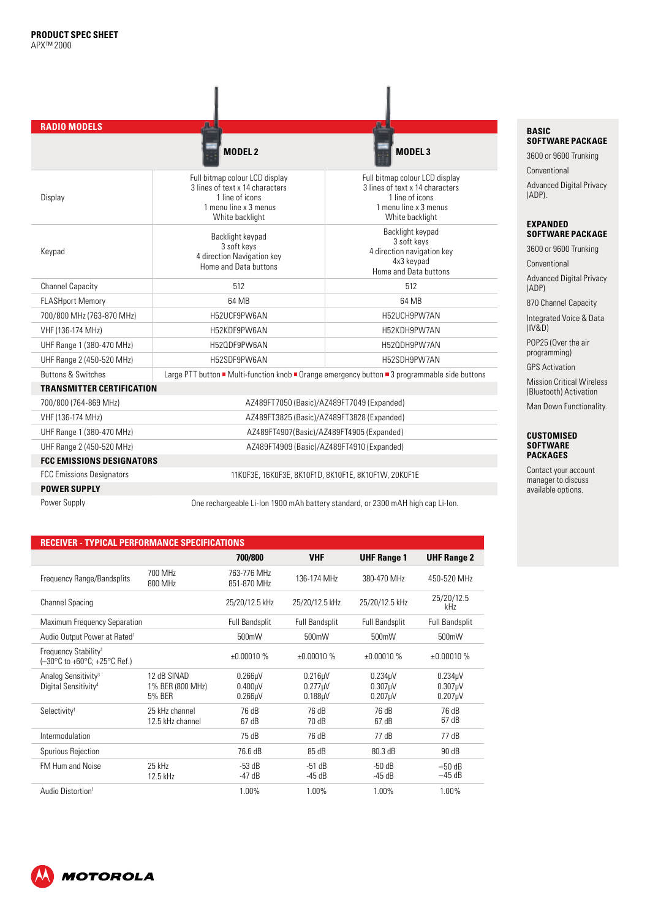| <b>RADIO MODELS</b>                                                     |                                                                                                                                  |                                                                                                                                  |  |  |  |
|-------------------------------------------------------------------------|----------------------------------------------------------------------------------------------------------------------------------|----------------------------------------------------------------------------------------------------------------------------------|--|--|--|
|                                                                         | <b>MODEL 2</b>                                                                                                                   | MODEL <sub>3</sub>                                                                                                               |  |  |  |
| Display                                                                 | Full bitmap colour LCD display<br>3 lines of text x 14 characters<br>1 line of icons<br>1 menu line x 3 menus<br>White backlight | Full bitmap colour LCD display<br>3 lines of text x 14 characters<br>1 line of icons<br>1 menu line x 3 menus<br>White backlight |  |  |  |
| Keypad                                                                  | Backlight keypad<br>3 soft keys<br>4 direction Navigation key<br>Home and Data buttons                                           | Backlight keypad<br>3 soft keys<br>4 direction navigation key<br>4x3 keypad<br>Home and Data buttons                             |  |  |  |
| <b>Channel Capacity</b>                                                 | 512                                                                                                                              | 512                                                                                                                              |  |  |  |
| <b>FLASHport Memory</b>                                                 | 64 MB                                                                                                                            | 64 MB                                                                                                                            |  |  |  |
| 700/800 MHz (763-870 MHz)                                               | H52UCF9PW6AN                                                                                                                     | H52UCH9PW7AN                                                                                                                     |  |  |  |
| VHF (136-174 MHz)                                                       | H52KDF9PW6AN                                                                                                                     | H52KDH9PW7AN                                                                                                                     |  |  |  |
| UHF Range 1 (380-470 MHz)                                               | H52QDF9PW6AN                                                                                                                     | H520DH9PW7AN                                                                                                                     |  |  |  |
| UHF Range 2 (450-520 MHz)                                               | H52SDF9PW6AN                                                                                                                     | H52SDH9PW7AN                                                                                                                     |  |  |  |
| <b>Buttons &amp; Switches</b>                                           |                                                                                                                                  | Large PTT button ■ Multi-function knob ■ Orange emergency button ■ 3 programmable side buttons                                   |  |  |  |
| <b>TRANSMITTER CERTIFICATION</b>                                        |                                                                                                                                  |                                                                                                                                  |  |  |  |
| 700/800 (764-869 MHz)                                                   |                                                                                                                                  | AZ489FT7050 (Basic)/AZ489FT7049 (Expanded)                                                                                       |  |  |  |
| VHF (136-174 MHz)                                                       |                                                                                                                                  | AZ489FT3825 (Basic)/AZ489FT3828 (Expanded)                                                                                       |  |  |  |
| UHF Range 1 (380-470 MHz)                                               |                                                                                                                                  | AZ489FT4907(Basic)/AZ489FT4905(Expanded)                                                                                         |  |  |  |
| UHF Range 2 (450-520 MHz)<br>AZ489FT4909 (Basic)/AZ489FT4910 (Expanded) |                                                                                                                                  |                                                                                                                                  |  |  |  |
| <b>FCC EMISSIONS DESIGNATORS</b>                                        |                                                                                                                                  |                                                                                                                                  |  |  |  |
| <b>FCC Emissions Designators</b>                                        |                                                                                                                                  | 11K0F3E, 16K0F3E, 8K10F1D, 8K10F1E, 8K10F1W, 20K0F1E                                                                             |  |  |  |
| <b>POWER SUPPLY</b>                                                     |                                                                                                                                  |                                                                                                                                  |  |  |  |
| Power Supply                                                            |                                                                                                                                  | One rechargeable Li-lon 1900 mAh battery standard, or 2300 mAH high cap Li-lon.                                                  |  |  |  |

ľ

ĩ

## **RECEIVER - TYPICAL PERFORMANCE SPECIFICATIONS**

|                                                                     | <u>TH IVALI LIII VIIIVAIVE VI LVII IVATIVIV</u> |                                                    |                                                |                                                |                                                            |
|---------------------------------------------------------------------|-------------------------------------------------|----------------------------------------------------|------------------------------------------------|------------------------------------------------|------------------------------------------------------------|
|                                                                     |                                                 | 700/800                                            | <b>VHF</b>                                     | <b>UHF Range 1</b>                             | <b>UHF Range 2</b>                                         |
| Frequency Range/Bandsplits                                          | 700 MHz<br>800 MHz                              | 763-776 MHz<br>851-870 MHz                         | 136-174 MHz                                    | 380-470 MHz                                    | 450-520 MHz                                                |
| Channel Spacing                                                     |                                                 | 25/20/12.5 kHz                                     | 25/20/12.5 kHz                                 | 25/20/12.5 kHz                                 | 25/20/12.5<br>kHz                                          |
| Maximum Frequency Separation                                        |                                                 | <b>Full Bandsplit</b>                              | <b>Full Bandsplit</b>                          | <b>Full Bandsplit</b>                          | <b>Full Bandsplit</b>                                      |
| Audio Output Power at Rated <sup>1</sup>                            |                                                 | 500mW                                              | 500mW                                          | 500mW                                          | 500mW                                                      |
| Frequency Stability <sup>1</sup><br>(-30°C to +60°C; +25°C Ref.)    |                                                 | ±0.00010%                                          | ±0.00010%                                      | ±0.00010%                                      | ±0.00010%                                                  |
| Analog Sensitivity <sup>3</sup><br>Digital Sensitivity <sup>4</sup> | 12 dB SINAD<br>1% BER (800 MHz)<br>5% BER       | $0.266\mu$ V<br>0.400 <sub>µ</sub><br>$0.266\mu$ V | 0.216 <sub>U</sub><br>$0.277$ µV<br>$0.188$ µV | 0.234 <sub>U</sub><br>$0.307$ µV<br>$0.207$ µV | 0.234 <sub>µ</sub> V<br>0.307 <sub>µ</sub> V<br>$0.207$ µV |
| Selectivity <sup>1</sup>                                            | 25 kHz channel<br>12.5 kHz channel              | 76 dB<br>67 dB                                     | 76 dB<br>70 dB                                 | 76 dB<br>67 dB                                 | 76 dB<br>67 dB                                             |
| Intermodulation                                                     |                                                 | 75 dB                                              | 76 dB                                          | 77 dB                                          | 77 dB                                                      |
| Spurious Rejection                                                  |                                                 | 76.6 dB                                            | 85 dB                                          | 80.3 dB                                        | 90 dB                                                      |
| FM Hum and Noise                                                    | 25 kHz<br>12.5 kHz                              | $-53$ dB<br>$-47$ dB                               | $-51$ dB<br>$-45dB$                            | $-50dB$<br>$-45dB$                             | $-50$ dB<br>–45 dB                                         |
| Audio Distortion <sup>1</sup>                                       |                                                 | 1.00%                                              | 1.00%                                          | 1.00%                                          | 1.00%                                                      |

#### **BASIC SOFTWARE PACKAGE**

3600 or 9600 Trunking Conventional

Advanced Digital Privacy (ADP).

#### **EXPANDED SOFTWARE PACKAGE**

3600 or 9600 Trunking

Conventional

Advanced Digital Privacy (ADP)

870 Channel Capacity

Integrated Voice & Data (IV&D)

POP25 (Over the air programming)

GPS Activation

Mission Critical Wireless (Bluetooth) Activation

Man Down Functionality.

#### **CUSTOMISED SOFTWARE PACKAGES**

Contact your account manager to discuss available options.